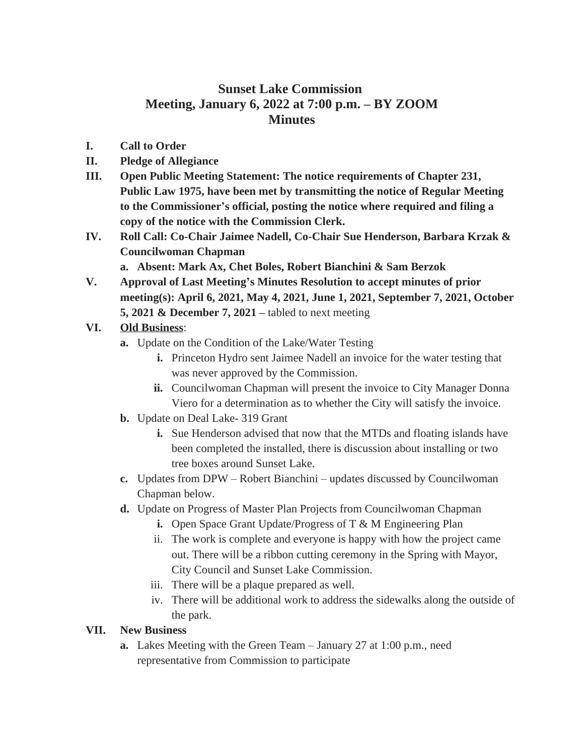## **Sunset Lake Commission Meeting, January 6, 2022 at 7:00 p.m. – BY ZOOM Minutes**

- **I. Call to Order**
- **II. Pledge of Allegiance**
- **III. Open Public Meeting Statement: The notice requirements of Chapter 231, Public Law 1975, have been met by transmitting the notice of Regular Meeting to the Commissioner's official, posting the notice where required and filing a copy of the notice with the Commission Clerk.**
- **IV. Roll Call: Co-Chair Jaimee Nadell, Co-Chair Sue Henderson, Barbara Krzak & Councilwoman Chapman**
	- **a. Absent: Mark Ax, Chet Boles, Robert Bianchini & Sam Berzok**
- **V. Approval of Last Meeting's Minutes Resolution to accept minutes of prior meeting(s): April 6, 2021, May 4, 2021, June 1, 2021, September 7, 2021, October 5, 2021 & December 7, 2021 –** tabled to next meeting

## **VI. Old Business**:

- **a.** Update on the Condition of the Lake/Water Testing
	- **i.** Princeton Hydro sent Jaimee Nadell an invoice for the water testing that was never approved by the Commission.
	- **ii.** Councilwoman Chapman will present the invoice to City Manager Donna Viero for a determination as to whether the City will satisfy the invoice.
- **b.** Update on Deal Lake- 319 Grant
	- **i.** Sue Henderson advised that now that the MTDs and floating islands have been completed the installed, there is discussion about installing or two tree boxes around Sunset Lake.
- **c.** Updates from DPW Robert Bianchini updates discussed by Councilwoman Chapman below.
- **d.** Update on Progress of Master Plan Projects from Councilwoman Chapman
	- **i.** Open Space Grant Update/Progress of T & M Engineering Plan
	- ii. The work is complete and everyone is happy with how the project came out. There will be a ribbon cutting ceremony in the Spring with Mayor, City Council and Sunset Lake Commission.
	- iii. There will be a plaque prepared as well.
	- iv. There will be additional work to address the sidewalks along the outside of the park.

## **VII. New Business**

**a.** Lakes Meeting with the Green Team – January 27 at 1:00 p.m., need representative from Commission to participate